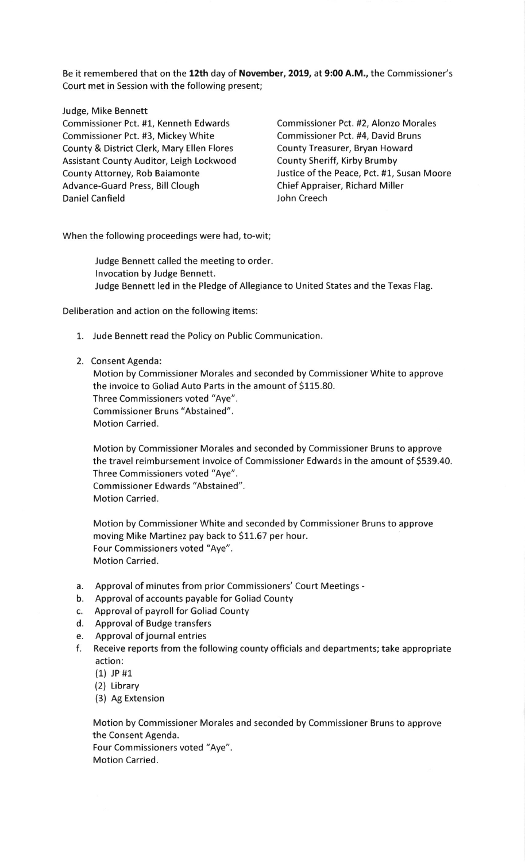Be it remembered that on the 12th day of November, 2019, at 9:00 A.M., the Commissioner's Court met in Session with the following present;

## Judge, Mike Bennett

Commissioner Pct. #1, Kenneth Edwards Commissioner Pct. #2, Alonzo Morales Commissioner Pct. #3, Mickey White Commissioner Pct. #4, David Bruns County & District Clerk, Mary Ellen Flores County Treasurer, Bryan Howard Assistant County Auditor, Leigh Lockwood County Sheriff, Kirby Brumby County Attorney, Rob Baiamonte Justice of the Peace, Pct. #1, Susan Moore Advance-Guard Press, Bill Clough Chief Appraiser, Richard Miller Daniel Canfield **John Creech** 

When the following proceedings were had, to-wit;

Judge Bennett called the meeting to order. lnvocation by Judge Bennett. Judge Bennett led in the Pledge of Allegiance to United States and the Texas Flag.

Deliberation and action on the following items:

- 1. Jude Bennett read the Policy on Public Communication.
- 2. Consent Agenda:

Motion by Commissioner Morales and seconded by Commissioner White to approve the invoice to Goliad Auto Parts in the amount of S115.80. Three Commissioners voted "Aye". Commissioner Bruns "Abstained". Motion Carried.

Motion by Commissioner Morales and seconded by Commissioner Bruns to approve the travel reimbursement invoice of Commissioner Edwards in the amount of \$539.40. Three Commissioners voted "Aye". Commissioner Edwards "Abstained". Motion Carried.

Motion by Commissioner White and seconded by Commissioner Bruns to approve moving Mike Martinez pay back to \$11.67 per hour. Four Commissioners voted "Aye". Motion Carried.

- a. Approval of minutes from prior Commissioners'Court Meetings -
- b. Approval of accounts payable for Goliad County
- c. Approval of payroll for Goliad County
- d. Approval of Budge transfers
- e. Approval of journal entries
- f. Receive reports from the following county officials and departments; take appropriate <sup>a</sup>ction:
	- (1) JP #1
	- (2) Library
	- (3) Ag Extension

Motion by Commissioner Morales and seconded by Commissioner Bruns to approve the Consent Agenda.

Four Commissioners voted "Aye". Motion Carried.